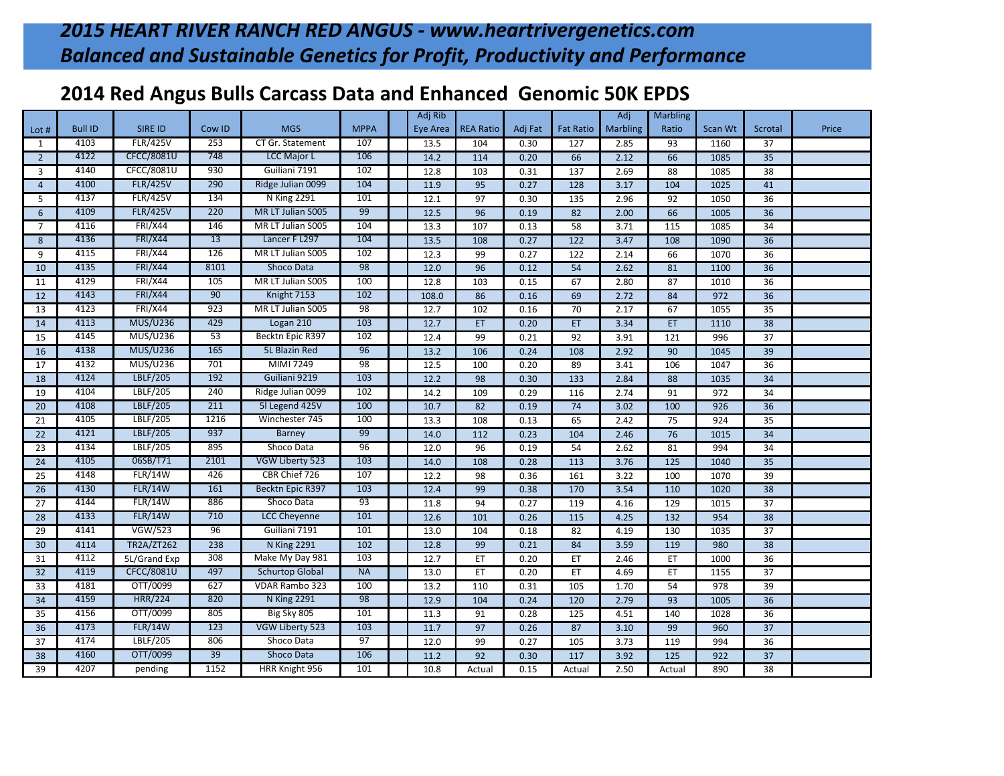## **2014 Red Angus Bulls Carcass Data and Enhanced Genomic 50K EPDS**

|                 |                |                   |        |                        |             | Adj Rib         |                  |         |                  | Adj             | <b>Marbling</b> |         |                 |       |
|-----------------|----------------|-------------------|--------|------------------------|-------------|-----------------|------------------|---------|------------------|-----------------|-----------------|---------|-----------------|-------|
| Lot #           | <b>Bull ID</b> | <b>SIRE ID</b>    | Cow ID | <b>MGS</b>             | <b>MPPA</b> | <b>Eye Area</b> | <b>REA Ratio</b> | Adj Fat | <b>Fat Ratio</b> | <b>Marbling</b> | Ratio           | Scan Wt | <b>Scrotal</b>  | Price |
| $\mathbf{1}$    | 4103           | <b>FLR/425V</b>   | 253    | CT Gr. Statement       | 107         | 13.5            | 104              | 0.30    | 127              | 2.85            | 93              | 1160    | 37              |       |
| $\overline{2}$  | 4122           | <b>CFCC/8081U</b> | 748    | <b>LCC Major L</b>     | 106         | 14.2            | 114              | 0.20    | 66               | 2.12            | 66              | 1085    | 35              |       |
| $\overline{3}$  | 4140           | <b>CFCC/8081U</b> | 930    | Guiliani 7191          | 102         | 12.8            | 103              | 0.31    | $\frac{137}{2}$  | 2.69            | 88              | 1085    | 38              |       |
| $\overline{4}$  | 4100           | <b>FLR/425V</b>   | 290    | Ridge Julian 0099      | 104         | 11.9            | 95               | 0.27    | $\frac{128}{ }$  | 3.17            | 104             | 1025    | 41              |       |
| 5               | 4137           | <b>FLR/425V</b>   | 134    | <b>N</b> King 2291     | 101         | 12.1            | 97               | 0.30    | 135              | 2.96            | 92              | 1050    | 36              |       |
| 6               | 4109           | <b>FLR/425V</b>   | 220    | MR LT Julian S005      | 99          | 12.5            | 96               | 0.19    | 82               | 2.00            | 66              | 1005    | $\overline{36}$ |       |
| $\overline{7}$  | 4116           | <b>FRI/X44</b>    | 146    | MR LT Julian S005      | 104         | 13.3            | 107              | 0.13    | $\overline{58}$  | 3.71            | 115             | 1085    | 34              |       |
| 8               | 4136           | <b>FRI/X44</b>    | 13     | Lancer F L297          | 104         | 13.5            | 108              | 0.27    | 122              | 3.47            | 108             | 1090    | $\overline{36}$ |       |
| 9               | 4115           | <b>FRI/X44</b>    | 126    | MR LT Julian S005      | 102         | 12.3            | 99               | 0.27    | 122              | 2.14            | 66              | 1070    | 36              |       |
| 10              | 4135           | <b>FRI/X44</b>    | 8101   | <b>Shoco Data</b>      | 98          | 12.0            | 96               | 0.12    | 54               | 2.62            | 81              | 1100    | $\overline{36}$ |       |
| 11              | 4129           | <b>FRI/X44</b>    | 105    | MR LT Julian S005      | 100         | 12.8            | 103              | 0.15    | 67               | 2.80            | 87              | 1010    | 36              |       |
| 12              | 4143           | <b>FRI/X44</b>    | 90     | Knight 7153            | 102         | 108.0           | 86               | 0.16    | 69               | 2.72            | 84              | 972     | 36              |       |
| 13              | 4123           | <b>FRI/X44</b>    | 923    | MR LT Julian S005      | 98          | 12.7            | 102              | 0.16    | 70               | 2.17            | 67              | 1055    | $\overline{35}$ |       |
| 14              | 4113           | <b>MUS/U236</b>   | 429    | Logan 210              | 103         | 12.7            | ET               | 0.20    | ET               | 3.34            | ET              | 1110    | 38              |       |
| 15              | 4145           | MUS/U236          | 53     | Becktn Epic R397       | 102         | 12.4            | 99               | 0.21    | 92               | 3.91            | 121             | 996     | 37              |       |
| 16              | 4138           | MUS/U236          | 165    | 5L Blazin Red          | 96          | 13.2            | 106              | 0.24    | 108              | 2.92            | 90              | 1045    | 39              |       |
| 17              | 4132           | MUS/U236          | 701    | MIMI 7249              | 98          | 12.5            | 100              | 0.20    | 89               | 3.41            | 106             | 1047    | $\overline{36}$ |       |
| 18              | 4124           | LBLF/205          | 192    | Guiliani 9219          | 103         | 12.2            | 98               | 0.30    | $\frac{133}{2}$  | 2.84            | 88              | 1035    | $\overline{34}$ |       |
| 19              | 4104           | LBLF/205          | 240    | Ridge Julian 0099      | 102         | 14.2            | 109              | 0.29    | 116              | 2.74            | 91              | 972     | 34              |       |
| $\overline{20}$ | 4108           | LBLF/205          | 211    | 5l Legend 425V         | 100         | 10.7            | 82               | 0.19    | 74               | 3.02            | 100             | 926     | $\overline{36}$ |       |
| 21              | 4105           | LBLF/205          | 1216   | Winchester 745         | 100         | 13.3            | 108              | 0.13    | 65               | 2.42            | 75              | 924     | 35              |       |
| 22              | 4121           | LBLF/205          | 937    | <b>Barney</b>          | 99          | 14.0            | 112              | 0.23    | 104              | 2.46            | 76              | 1015    | 34              |       |
| 23              | 4134           | LBLF/205          | 895    | Shoco Data             | 96          | 12.0            | 96               | 0.19    | $\overline{54}$  | 2.62            | 81              | 994     | $\overline{34}$ |       |
| 24              | 4105           | 06SB/T71          | 2101   | VGW Liberty 523        | 103         | 14.0            | 108              | 0.28    | 113              | 3.76            | 125             | 1040    | 35              |       |
| 25              | 4148           | <b>FLR/14W</b>    | 426    | CBR Chief 726          | 107         | 12.2            | 98               | 0.36    | 161              | 3.22            | 100             | 1070    | 39              |       |
| 26              | 4130           | <b>FLR/14W</b>    | 161    | Becktn Epic R397       | 103         | 12.4            | 99               | 0.38    | 170              | 3.54            | 110             | 1020    | 38              |       |
| 27              | 4144           | <b>FLR/14W</b>    | 886    | Shoco Data             | 93          | 11.8            | 94               | 0.27    | 119              | 4.16            | 129             | 1015    | 37              |       |
| 28              | 4133           | <b>FLR/14W</b>    | 710    | <b>LCC Cheyenne</b>    | 101         | 12.6            | 101              | 0.26    | 115              | 4.25            | 132             | 954     | $\overline{38}$ |       |
| 29              | 4141           | <b>VGW/523</b>    | 96     | Guiliani 7191          | 101         | 13.0            | 104              | 0.18    | 82               | 4.19            | 130             | 1035    | $\overline{37}$ |       |
| 30              | 4114           | <b>TR2A/ZT262</b> | 238    | <b>N</b> King 2291     | 102         | 12.8            | 99               | 0.21    | 84               | 3.59            | 119             | 980     | $\overline{38}$ |       |
| 31              | 4112           | 5L/Grand Exp      | 308    | Make My Day 981        | 103         | 12.7            | ET               | 0.20    | ET               | 2.46            | ET              | 1000    | 36              |       |
| 32              | 4119           | <b>CFCC/8081U</b> | 497    | <b>Schurtop Global</b> | <b>NA</b>   | 13.0            | ET               | 0.20    | ET               | 4.69            | ET              | 1155    | $\overline{37}$ |       |
| 33              | 4181           | OTT/0099          | 627    | VDAR Rambo 323         | 100         | 13.2            | 110              | 0.31    | 105              | 1.70            | 54              | 978     | 39              |       |
| 34              | 4159           | <b>HRR/224</b>    | 820    | <b>N</b> King 2291     | 98          | 12.9            | 104              | 0.24    | $\frac{120}{ }$  | 2.79            | 93              | 1005    | $\overline{36}$ |       |
| 35              | 4156           | OTT/0099          | 805    | Big Sky 805            | 101         | 11.3            | 91               | 0.28    | 125              | 4.51            | 140             | 1028    | 36              |       |
| 36              | 4173           | <b>FLR/14W</b>    | 123    | VGW Liberty 523        | 103         | 11.7            | $\overline{97}$  | 0.26    | 87               | 3.10            | 99              | 960     | $\overline{37}$ |       |
| 37              | 4174           | LBLF/205          | 806    | Shoco Data             | 97          | 12.0            | 99               | 0.27    | 105              | 3.73            | 119             | 994     | 36              |       |
| 38              | 4160           | OTT/0099          | 39     | Shoco Data             | 106         | 11.2            | 92               | 0.30    | 117              | 3.92            | 125             | 922     | $\overline{37}$ |       |
| 39              | 4207           | pending           | 1152   | HRR Knight 956         | 101         | 10.8            | Actual           | 0.15    | Actual           | 2.50            | Actual          | 890     | $\overline{38}$ |       |